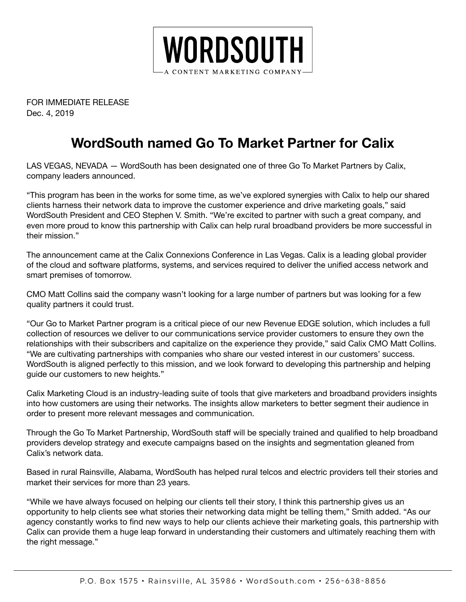

FOR IMMEDIATE RELEASE Dec. 4, 2019

## **WordSouth named Go To Market Partner for Calix**

LAS VEGAS, NEVADA — WordSouth has been designated one of three Go To Market Partners by Calix, company leaders announced.

"This program has been in the works for some time, as we've explored synergies with Calix to help our shared clients harness their network data to improve the customer experience and drive marketing goals," said WordSouth President and CEO Stephen V. Smith. "We're excited to partner with such a great company, and even more proud to know this partnership with Calix can help rural broadband providers be more successful in their mission."

The announcement came at the Calix Connexions Conference in Las Vegas. Calix is a leading global provider of the cloud and software platforms, systems, and services required to deliver the unified access network and smart premises of tomorrow.

CMO Matt Collins said the company wasn't looking for a large number of partners but was looking for a few quality partners it could trust.

"Our Go to Market Partner program is a critical piece of our new Revenue EDGE solution, which includes a full collection of resources we deliver to our communications service provider customers to ensure they own the relationships with their subscribers and capitalize on the experience they provide," said Calix CMO Matt Collins. "We are cultivating partnerships with companies who share our vested interest in our customers' success. WordSouth is aligned perfectly to this mission, and we look forward to developing this partnership and helping guide our customers to new heights."

Calix Marketing Cloud is an industry-leading suite of tools that give marketers and broadband providers insights into how customers are using their networks. The insights allow marketers to better segment their audience in order to present more relevant messages and communication.

Through the Go To Market Partnership, WordSouth staff will be specially trained and qualified to help broadband providers develop strategy and execute campaigns based on the insights and segmentation gleaned from Calix's network data.

Based in rural Rainsville, Alabama, WordSouth has helped rural telcos and electric providers tell their stories and market their services for more than 23 years.

"While we have always focused on helping our clients tell their story, I think this partnership gives us an opportunity to help clients see what stories their networking data might be telling them," Smith added. "As our agency constantly works to find new ways to help our clients achieve their marketing goals, this partnership with Calix can provide them a huge leap forward in understanding their customers and ultimately reaching them with the right message."